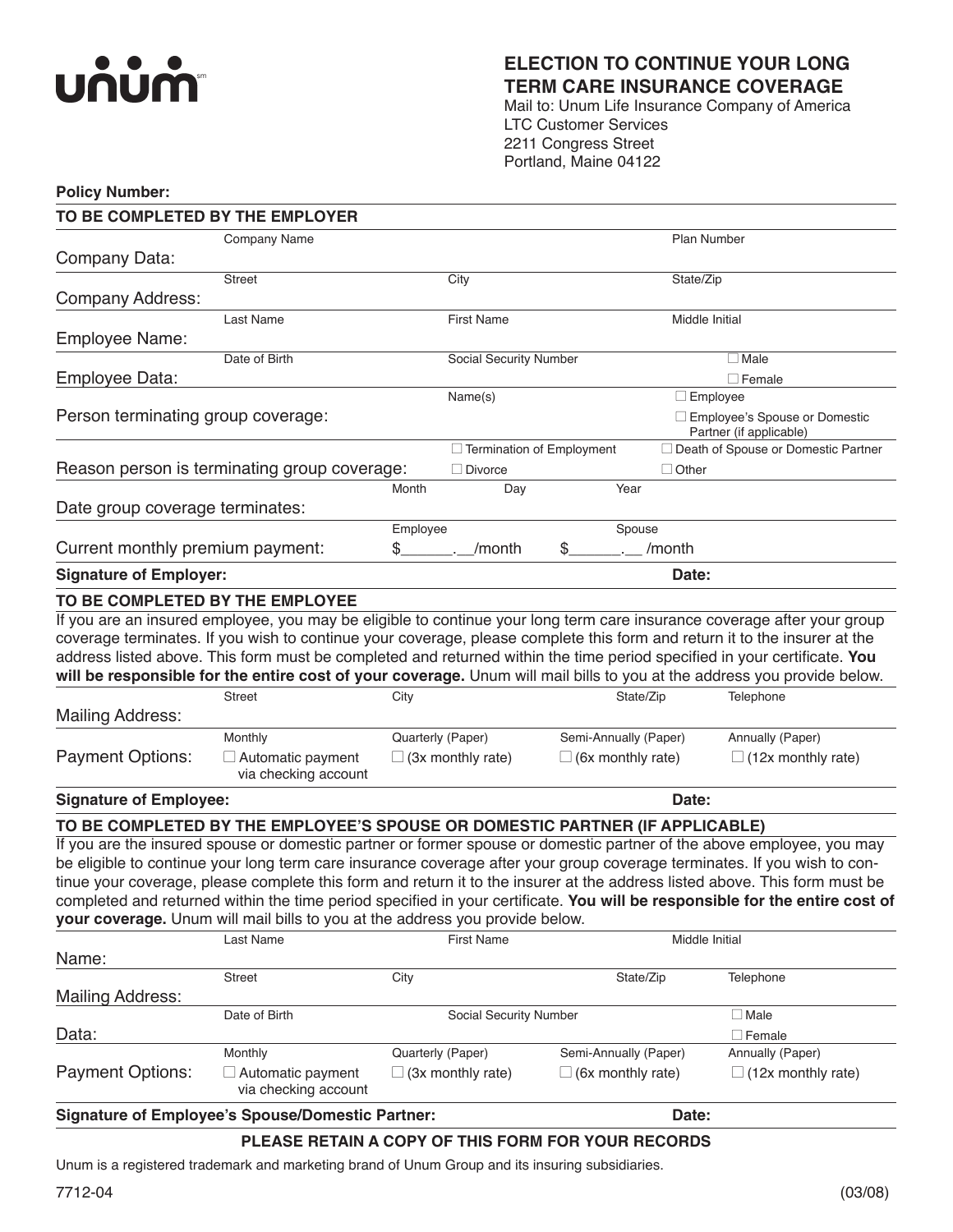

#### **ELECTION TO CONTINUE YOUR LONG TERM CARE INSURANCE COVERAGE**

Mail to: Unum Life Insurance Company of America LTC Customer Services 2211 Congress Street Portland, Maine 04122

#### **Policy Number:**

|                                    | TO BE COMPLETED BY THE EMPLOYER                                                                                                                                                                                                                                                                                                                                                                                                                                                                             |          |                               |                          |                 |                                                                                                                                                                                                                                                      |
|------------------------------------|-------------------------------------------------------------------------------------------------------------------------------------------------------------------------------------------------------------------------------------------------------------------------------------------------------------------------------------------------------------------------------------------------------------------------------------------------------------------------------------------------------------|----------|-------------------------------|--------------------------|-----------------|------------------------------------------------------------------------------------------------------------------------------------------------------------------------------------------------------------------------------------------------------|
|                                    | Company Name                                                                                                                                                                                                                                                                                                                                                                                                                                                                                                |          |                               |                          | Plan Number     |                                                                                                                                                                                                                                                      |
| Company Data:                      |                                                                                                                                                                                                                                                                                                                                                                                                                                                                                                             |          |                               |                          |                 |                                                                                                                                                                                                                                                      |
|                                    | <b>Street</b>                                                                                                                                                                                                                                                                                                                                                                                                                                                                                               |          | City                          |                          | State/Zip       |                                                                                                                                                                                                                                                      |
| <b>Company Address:</b>            |                                                                                                                                                                                                                                                                                                                                                                                                                                                                                                             |          |                               |                          |                 |                                                                                                                                                                                                                                                      |
| <b>Employee Name:</b>              | Last Name                                                                                                                                                                                                                                                                                                                                                                                                                                                                                                   |          | <b>First Name</b>             |                          | Middle Initial  |                                                                                                                                                                                                                                                      |
|                                    | Date of Birth                                                                                                                                                                                                                                                                                                                                                                                                                                                                                               |          | <b>Social Security Number</b> |                          |                 | $\square$ Male                                                                                                                                                                                                                                       |
| Employee Data:                     |                                                                                                                                                                                                                                                                                                                                                                                                                                                                                                             |          |                               |                          |                 | $\Box$ Female                                                                                                                                                                                                                                        |
|                                    |                                                                                                                                                                                                                                                                                                                                                                                                                                                                                                             |          | Name(s)                       |                          | $\Box$ Employee |                                                                                                                                                                                                                                                      |
| Person terminating group coverage: |                                                                                                                                                                                                                                                                                                                                                                                                                                                                                                             |          |                               |                          |                 | Employee's Spouse or Domestic<br>Partner (if applicable)                                                                                                                                                                                             |
|                                    |                                                                                                                                                                                                                                                                                                                                                                                                                                                                                                             |          | □ Termination of Employment   |                          |                 | Death of Spouse or Domestic Partner                                                                                                                                                                                                                  |
|                                    | Reason person is terminating group coverage:                                                                                                                                                                                                                                                                                                                                                                                                                                                                |          | $\Box$ Divorce                |                          | $\Box$ Other    |                                                                                                                                                                                                                                                      |
|                                    |                                                                                                                                                                                                                                                                                                                                                                                                                                                                                                             | Month    | Day                           |                          | Year            |                                                                                                                                                                                                                                                      |
| Date group coverage terminates:    |                                                                                                                                                                                                                                                                                                                                                                                                                                                                                                             |          |                               |                          |                 |                                                                                                                                                                                                                                                      |
|                                    |                                                                                                                                                                                                                                                                                                                                                                                                                                                                                                             | Employee |                               |                          | Spouse          |                                                                                                                                                                                                                                                      |
| Current monthly premium payment:   |                                                                                                                                                                                                                                                                                                                                                                                                                                                                                                             | \$       | /month                        | \$                       | /month          |                                                                                                                                                                                                                                                      |
| <b>Signature of Employer:</b>      |                                                                                                                                                                                                                                                                                                                                                                                                                                                                                                             |          |                               |                          | Date:           |                                                                                                                                                                                                                                                      |
|                                    | TO BE COMPLETED BY THE EMPLOYEE                                                                                                                                                                                                                                                                                                                                                                                                                                                                             |          |                               |                          |                 |                                                                                                                                                                                                                                                      |
|                                    | If you are an insured employee, you may be eligible to continue your long term care insurance coverage after your group<br>coverage terminates. If you wish to continue your coverage, please complete this form and return it to the insurer at the<br>address listed above. This form must be completed and returned within the time period specified in your certificate. You<br>will be responsible for the entire cost of your coverage. Unum will mail bills to you at the address you provide below. |          |                               |                          |                 |                                                                                                                                                                                                                                                      |
|                                    | <b>Street</b>                                                                                                                                                                                                                                                                                                                                                                                                                                                                                               | City     |                               |                          | State/Zip       | Telephone                                                                                                                                                                                                                                            |
| <b>Mailing Address:</b>            |                                                                                                                                                                                                                                                                                                                                                                                                                                                                                                             |          |                               |                          |                 |                                                                                                                                                                                                                                                      |
|                                    | Monthly                                                                                                                                                                                                                                                                                                                                                                                                                                                                                                     |          | Quarterly (Paper)             | Semi-Annually (Paper)    |                 | Annually (Paper)                                                                                                                                                                                                                                     |
| <b>Payment Options:</b>            | $\Box$ Automatic payment<br>via checking account                                                                                                                                                                                                                                                                                                                                                                                                                                                            |          | $\Box$ (3x monthly rate)      | $\Box$ (6x monthly rate) |                 | $\Box$ (12x monthly rate)                                                                                                                                                                                                                            |
| <b>Signature of Employee:</b>      |                                                                                                                                                                                                                                                                                                                                                                                                                                                                                                             |          |                               |                          | Date:           |                                                                                                                                                                                                                                                      |
|                                    | TO BE COMPLETED BY THE EMPLOYEE'S SPOUSE OR DOMESTIC PARTNER (IF APPLICABLE)                                                                                                                                                                                                                                                                                                                                                                                                                                |          |                               |                          |                 |                                                                                                                                                                                                                                                      |
|                                    | be eligible to continue your long term care insurance coverage after your group coverage terminates. If you wish to con-<br>tinue your coverage, please complete this form and return it to the insurer at the address listed above. This form must be<br>your coverage. Unum will mail bills to you at the address you provide below.<br>Last Name                                                                                                                                                         |          | <b>First Name</b>             |                          | Middle Initial  | If you are the insured spouse or domestic partner or former spouse or domestic partner of the above employee, you may<br>completed and returned within the time period specified in your certificate. You will be responsible for the entire cost of |
| Name:                              |                                                                                                                                                                                                                                                                                                                                                                                                                                                                                                             |          |                               |                          |                 |                                                                                                                                                                                                                                                      |
|                                    | <b>Street</b>                                                                                                                                                                                                                                                                                                                                                                                                                                                                                               | City     |                               |                          | State/Zip       | Telephone                                                                                                                                                                                                                                            |
| <b>Mailing Address:</b>            |                                                                                                                                                                                                                                                                                                                                                                                                                                                                                                             |          |                               |                          |                 |                                                                                                                                                                                                                                                      |
|                                    | Date of Birth                                                                                                                                                                                                                                                                                                                                                                                                                                                                                               |          | Social Security Number        |                          |                 | $\Box$ Male                                                                                                                                                                                                                                          |
| Data:                              |                                                                                                                                                                                                                                                                                                                                                                                                                                                                                                             |          |                               |                          |                 | $\Box$ Female                                                                                                                                                                                                                                        |
|                                    | Monthly                                                                                                                                                                                                                                                                                                                                                                                                                                                                                                     |          | Quarterly (Paper)             | Semi-Annually (Paper)    |                 | Annually (Paper)                                                                                                                                                                                                                                     |
| <b>Payment Options:</b>            | $\Box$ Automatic payment<br>via checking account                                                                                                                                                                                                                                                                                                                                                                                                                                                            |          | $\Box$ (3x monthly rate)      | $\Box$ (6x monthly rate) |                 | $\Box$ (12x monthly rate)                                                                                                                                                                                                                            |
|                                    | <b>Signature of Employee's Spouse/Domestic Partner:</b>                                                                                                                                                                                                                                                                                                                                                                                                                                                     |          |                               |                          | Date:           |                                                                                                                                                                                                                                                      |
|                                    |                                                                                                                                                                                                                                                                                                                                                                                                                                                                                                             |          |                               |                          |                 |                                                                                                                                                                                                                                                      |

#### **PLEASE RETAIN A COPY OF THIS FORM FOR YOUR RECORDS**

Unum is a registered trademark and marketing brand of Unum Group and its insuring subsidiaries.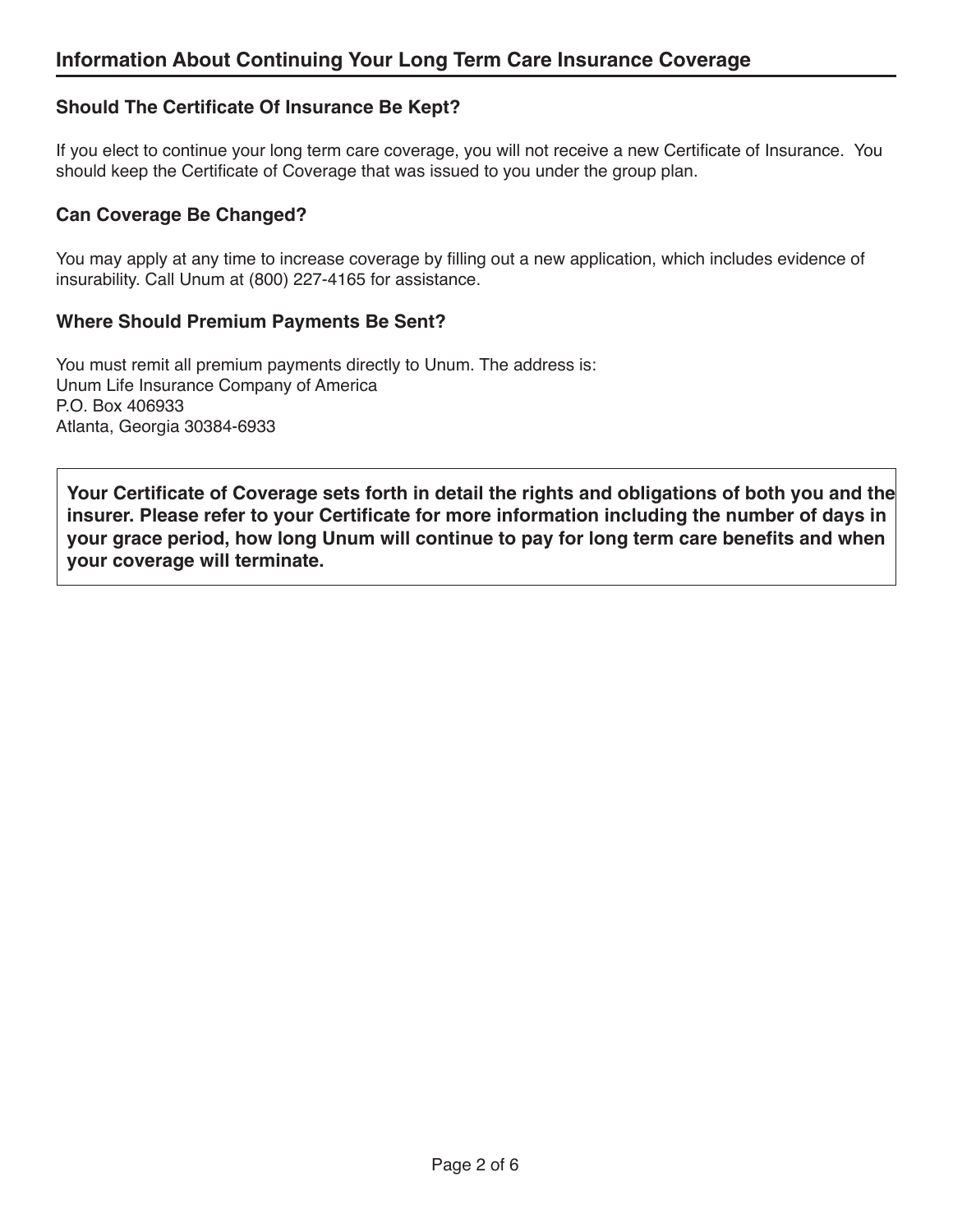# **Should The Certificate Of Insurance Be Kept?**

If you elect to continue your long term care coverage, you will not receive a new Certificate of Insurance. You should keep the Certificate of Coverage that was issued to you under the group plan.

# **Can Coverage Be Changed?**

You may apply at any time to increase coverage by filling out a new application, which includes evidence of insurability. Call Unum at (800) 227-4165 for assistance.

# **Where Should Premium Payments Be Sent?**

You must remit all premium payments directly to Unum. The address is: Unum Life Insurance Company of America P.O. Box 406933 Atlanta, Georgia 30384-6933

**Your Certificate of Coverage sets forth in detail the rights and obligations of both you and the insurer. Please refer to your Certificate for more information including the number of days in your grace period, how long Unum will continue to pay for long term care benefits and when your coverage will terminate.**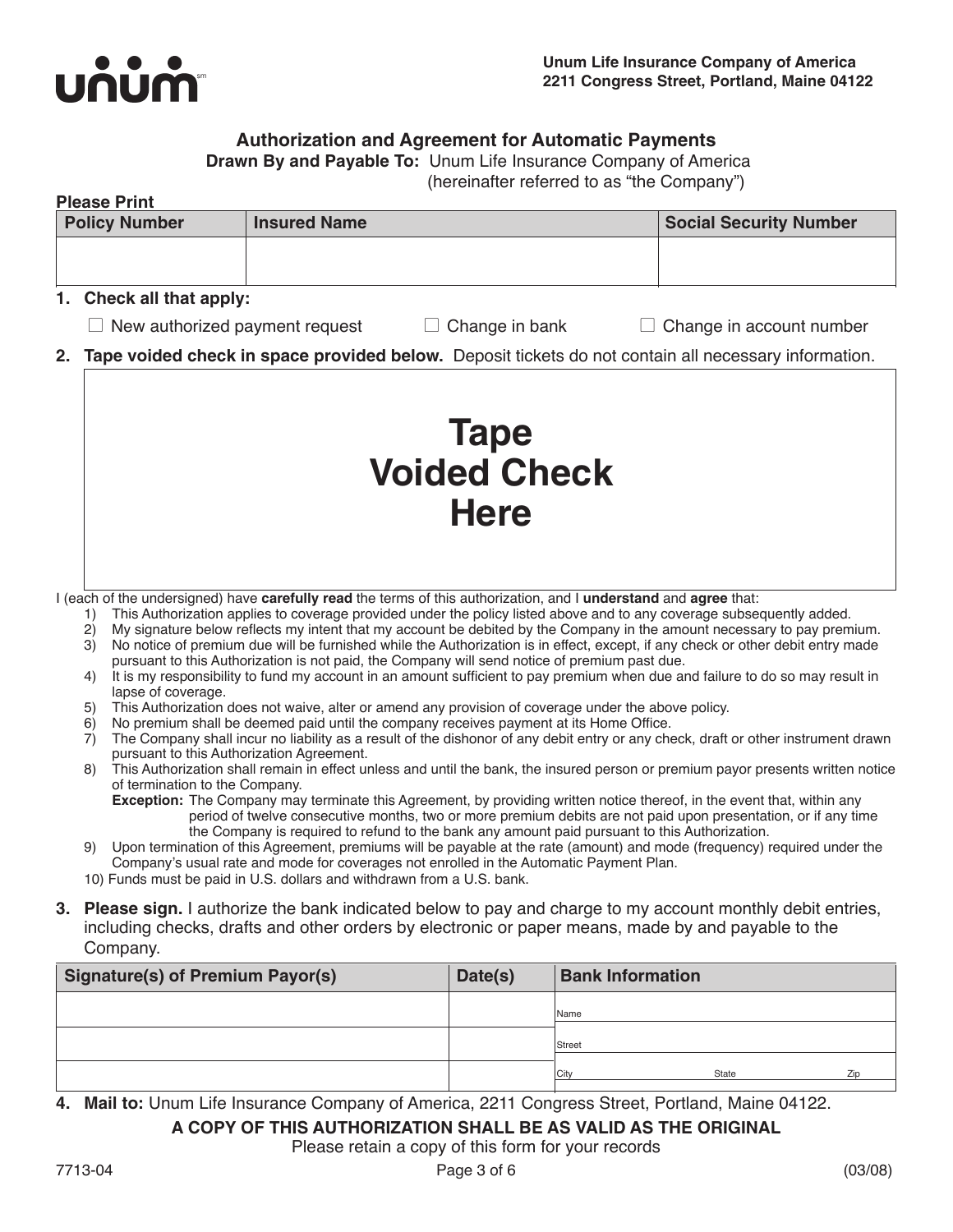

## **Authorization and Agreement for Automatic Payments**

**Drawn By and Payable To:** Unum Life Insurance Company of America

(hereinafter referred to as "the Company")

| <b>Please Print</b>  |                                       |                     |                          |  |                                                                                                       |  |
|----------------------|---------------------------------------|---------------------|--------------------------|--|-------------------------------------------------------------------------------------------------------|--|
| <b>Policy Number</b> |                                       | <b>Insured Name</b> |                          |  | <b>Social Security Number</b>                                                                         |  |
|                      |                                       |                     |                          |  |                                                                                                       |  |
|                      |                                       |                     |                          |  |                                                                                                       |  |
| 1.                   | Check all that apply:                 |                     |                          |  |                                                                                                       |  |
|                      | $\Box$ New authorized payment request |                     | Change in bank<br>$\Box$ |  | $\Box$ Change in account number                                                                       |  |
|                      |                                       |                     |                          |  | 2. Tano voidad aboak in space provided below. Depect tickets de not centain all necessary information |  |

**2. Tape voided check in space provided below.** Deposit tickets do not contain all necessary information.

# **Tape Voided Check Here**

I (each of the undersigned) have **carefully read** the terms of this authorization, and I **understand** and **agree** that:

- 1) This Authorization applies to coverage provided under the policy listed above and to any coverage subsequently added.
- 2) My signature below reflects my intent that my account be debited by the Company in the amount necessary to pay premium.
- 3) No notice of premium due will be furnished while the Authorization is in effect, except, if any check or other debit entry made pursuant to this Authorization is not paid, the Company will send notice of premium past due.
- 4) It is my responsibility to fund my account in an amount sufficient to pay premium when due and failure to do so may result in lapse of coverage.
- 5) This Authorization does not waive, alter or amend any provision of coverage under the above policy.
- 6) No premium shall be deemed paid until the company receives payment at its Home Office.
- 7) The Company shall incur no liability as a result of the dishonor of any debit entry or any check, draft or other instrument drawn pursuant to this Authorization Agreement.
- 8) This Authorization shall remain in effect unless and until the bank, the insured person or premium payor presents written notice of termination to the Company.

**Exception:** The Company may terminate this Agreement, by providing written notice thereof, in the event that, within any period of twelve consecutive months, two or more premium debits are not paid upon presentation, or if any time the Company is required to refund to the bank any amount paid pursuant to this Authorization.

- 9) Upon termination of this Agreement, premiums will be payable at the rate (amount) and mode (frequency) required under the Company's usual rate and mode for coverages not enrolled in the Automatic Payment Plan.
- 10) Funds must be paid in U.S. dollars and withdrawn from a U.S. bank.
- **3. Please sign.** I authorize the bank indicated below to pay and charge to my account monthly debit entries, including checks, drafts and other orders by electronic or paper means, made by and payable to the Company.

| <b>Signature(s) of Premium Payor(s)</b> | Date(s) | <b>Bank Information</b>      |
|-----------------------------------------|---------|------------------------------|
|                                         |         | Name                         |
|                                         |         | <b>Street</b>                |
|                                         |         | State<br><b>ICity</b><br>Zir |

**4. Mail to:** Unum Life Insurance Company of America, 2211 Congress Street, Portland, Maine 04122.

**A COPY OF THIS AUTHORIZATION SHALL BE AS VALID AS THE ORIGINAL**

Please retain a copy of this form for your records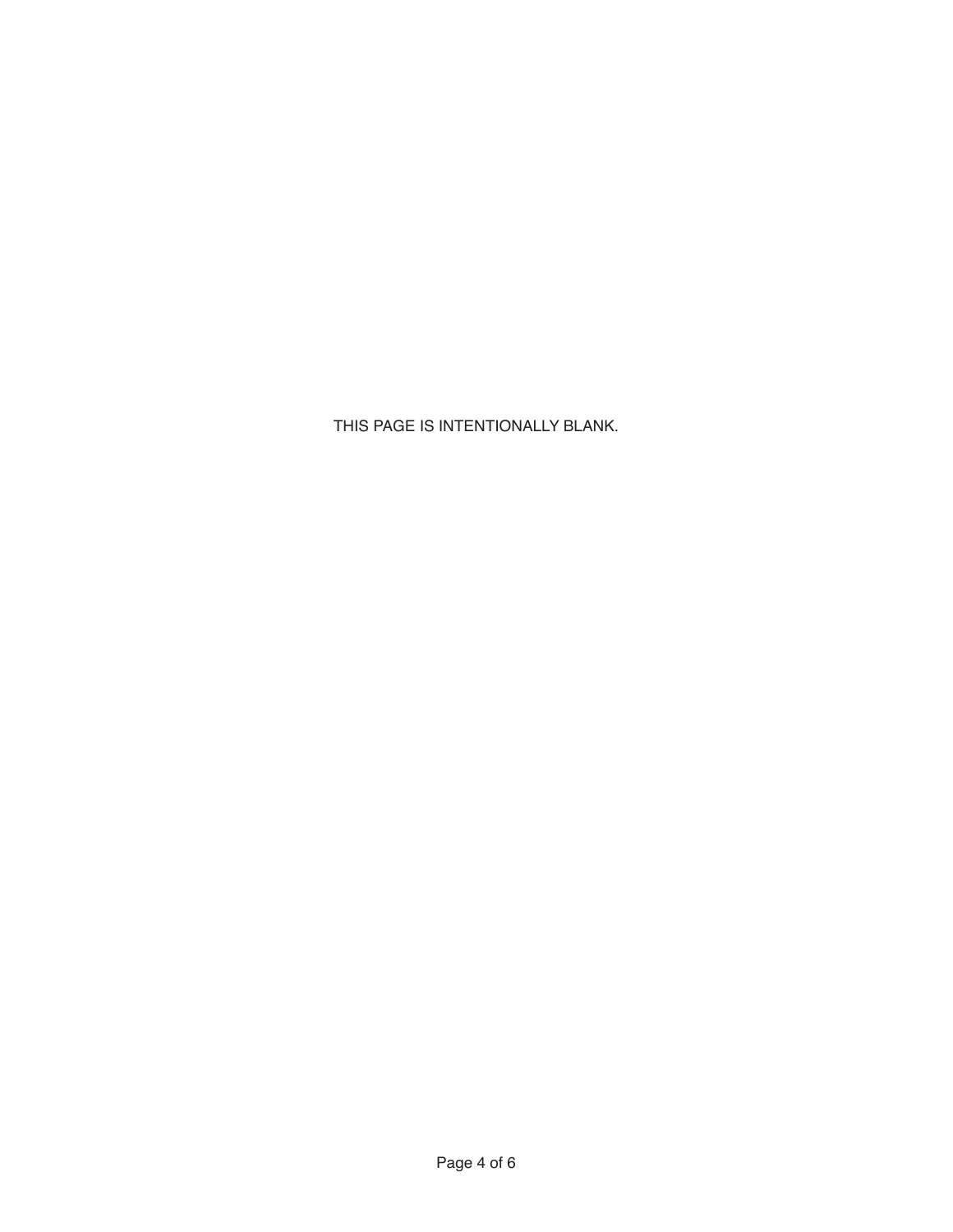THIS PAGE IS INTENTIONALLY BLANK.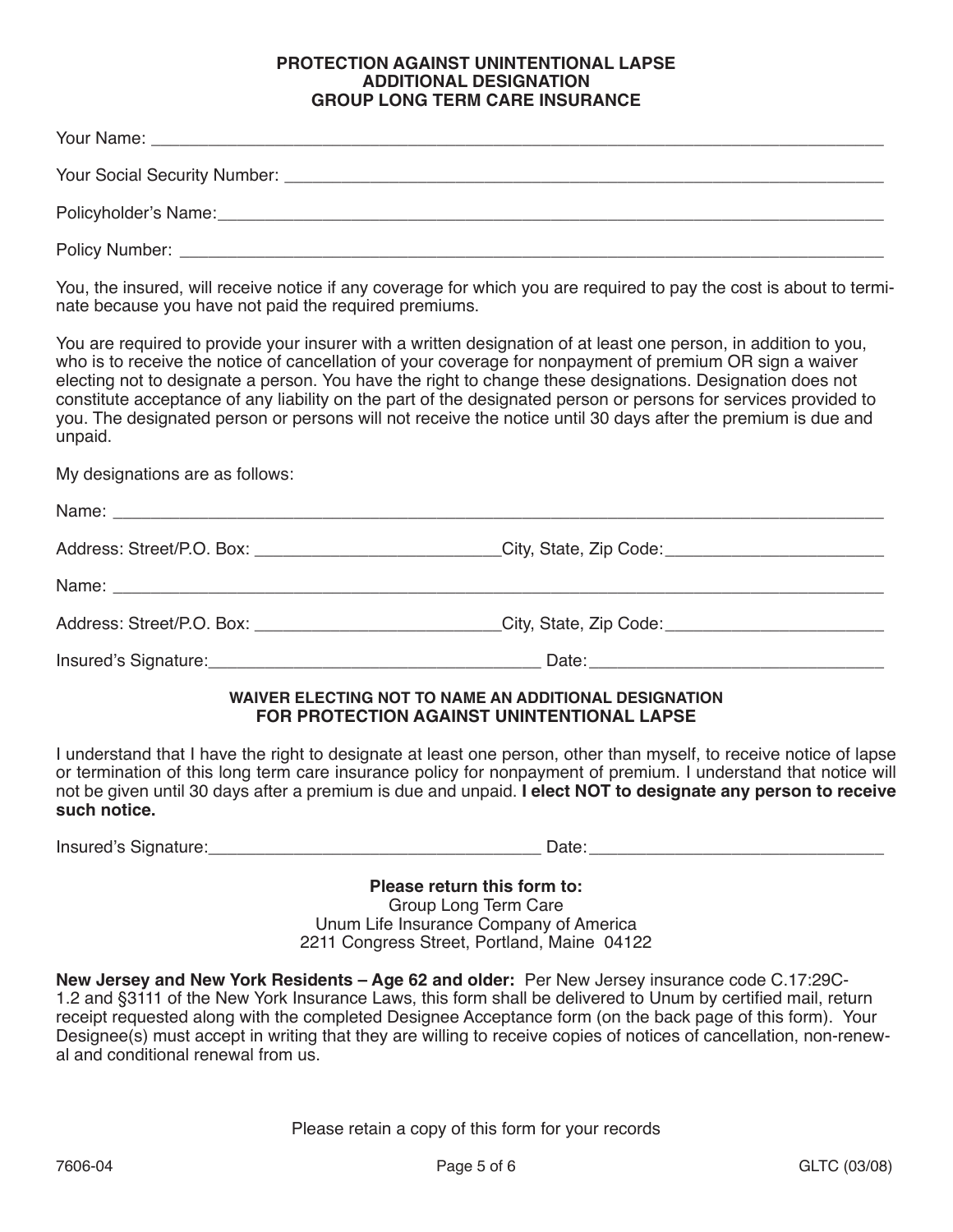#### **PROTECTION AGAINST UNINTENTIONAL LAPSE ADDITIONAL DESIGNATION GROUP LONG TERM CARE INSURANCE**

| You, the insured, will receive notice if any coverage for which you are required to pay the cost is about to termi-<br>nate because you have not paid the required premiums.                                                                                                                                                                                                                                                                                                                                                                                                           |  |  |
|----------------------------------------------------------------------------------------------------------------------------------------------------------------------------------------------------------------------------------------------------------------------------------------------------------------------------------------------------------------------------------------------------------------------------------------------------------------------------------------------------------------------------------------------------------------------------------------|--|--|
| You are required to provide your insurer with a written designation of at least one person, in addition to you,<br>who is to receive the notice of cancellation of your coverage for nonpayment of premium OR sign a waiver<br>electing not to designate a person. You have the right to change these designations. Designation does not<br>constitute acceptance of any liability on the part of the designated person or persons for services provided to<br>you. The designated person or persons will not receive the notice until 30 days after the premium is due and<br>unpaid. |  |  |
| My designations are as follows:                                                                                                                                                                                                                                                                                                                                                                                                                                                                                                                                                        |  |  |
|                                                                                                                                                                                                                                                                                                                                                                                                                                                                                                                                                                                        |  |  |
| Address: Street/P.O. Box: ___________________________City, State, Zip Code: ________________________                                                                                                                                                                                                                                                                                                                                                                                                                                                                                   |  |  |
|                                                                                                                                                                                                                                                                                                                                                                                                                                                                                                                                                                                        |  |  |

Address: Street/P.O. Box: \_\_\_\_\_\_\_\_\_\_\_\_\_\_\_\_\_\_\_\_\_\_\_\_\_\_\_\_City, State, Zip Code:

Insured's Signature: The Contract of the Date:

## **WAIVER ELECTING NOT TO NAME AN ADDITIONAL DESIGNATION FOR PROTECTION AGAINST UNINTENTIONAL LAPSE**

I understand that I have the right to designate at least one person, other than myself, to receive notice of lapse or termination of this long term care insurance policy for nonpayment of premium. I understand that notice will not be given until 30 days after a premium is due and unpaid. **I elect NOT to designate any person to receive such notice.**

Insured's Signature: <u>contract the set of the set of the Date:</u> contract the Date:

**Please return this form to:** Group Long Term Care Unum Life Insurance Company of America 2211 Congress Street, Portland, Maine 04122

**New Jersey and New York Residents – Age 62 and older:** Per New Jersey insurance code C.17:29C-1.2 and §3111 of the New York Insurance Laws, this form shall be delivered to Unum by certified mail, return receipt requested along with the completed Designee Acceptance form (on the back page of this form). Your Designee(s) must accept in writing that they are willing to receive copies of notices of cancellation, non-renewal and conditional renewal from us.

Please retain a copy of this form for your records